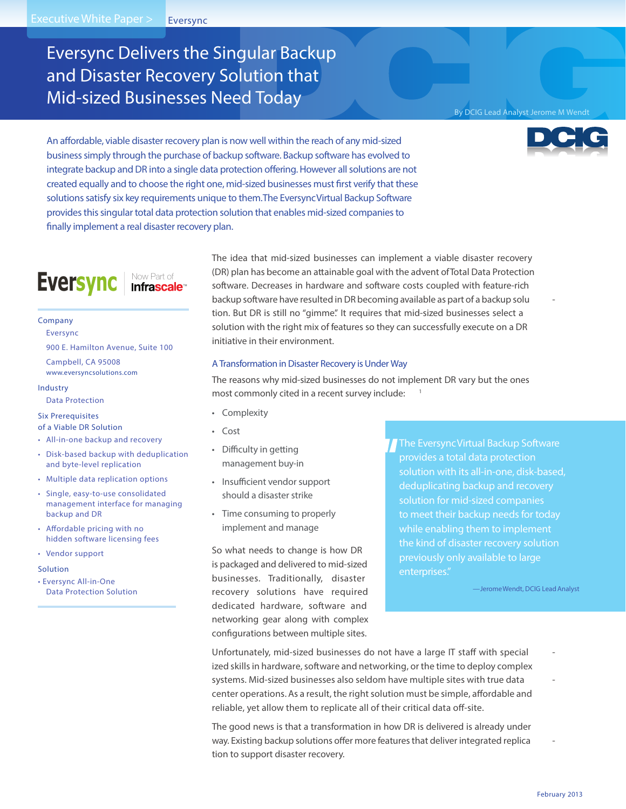# Eversync Delivers the Singular Backup and Disaster Recovery Solution that Mid-sized Businesses Need Today

## By DCIG Lead Analyst Jerome M Wendt



An affordable, viable disaster recovery plan is now well within the reach of any mid-sized **business simply through the purchase of backup software. Backup software has evolved to integrate backup and DR into a single data protection oering.However all solutions are not created equally and to choose the right one, mid-sized businesses must first verify that these solutions satisfy six key requirements unique to them.The EversyncVirtual Backup Software provides this singular total data protection solution that enables mid-sized companies to finally implement a real disaster recovery plan.**

# Eversync Infrascale<sup>®</sup>

#### **Company**

Eversync

900 E. Hamilton Avenue, Suite 100

Campbell, CA 95008

**www.eversyncsolutions.com**

#### **Industry**

## Data Protection

# **Six Prerequisites**

**of a Viable DR Solution**

- All-in-one backup and recovery
- Disk-based backup with deduplication and byte-level replication
- Multiple data replication options
- Single, easy-to-use consolidated management interface for managing backup and DR
- $\cdot$  Affordable pricing with no hidden software licensing fees
- Vendor support

#### **Solution**

• Eversync All-in-One Data Protection Solution The idea that mid-sized businesses can implement a viable disaster recovery (DR) plan has become an attainable goal with the advent ofTotal Data Protection software. Decreases in hardware and software costs coupled with feature-rich backup software have resulted in DR becoming available as part of a backup solu tion. But DR is still no "gimme." It requires that mid-sized businesses select a solution with the right mix of features so they can successfully execute on a DR initiative in their environment.

#### A Transformation in Disaster Recovery is Under Way

The reasons why mid-sized businesses do not implement DR vary but the ones most commonly cited in a recent survey include: <sup>1</sup>

- Complexity
- Cost
- Difficulty in getting management buy-in
- Insufficient vendor support should a disaster strike
- Time consuming to properly implement and manage

So what needs to change is how DR is packaged and delivered to mid-sized businesses. Traditionally, disaster recovery solutions have required dedicated hardware, software and networking gear along with complex configurations between multiple sites.

**The EversyncVirtual Backup Software provides a total data protection solution with its all-in-one, disk-based, deduplicating backup and recovery solution for mid-sized companies to meet their backup needsfor today while enabling them to implement the kind of disaster recovery solution previously only available to large enterprises."**

**—JeromeWendt, DCIG LeadAnalyst**

Unfortunately, mid-sized businesses do not have a large IT staff with special ized skills in hardware, software and networking, or the time to deploy complex systems. Mid-sized businesses also seldom have multiple sites with true data center operations. As a result, the right solution must be simple, affordable and reliable, yet allow them to replicate all of their critical data off-site.

The good news is that a transformation in how DR is delivered is already under way. Existing backup solutions offer more features that deliver integrated replica tion to support disaster recovery.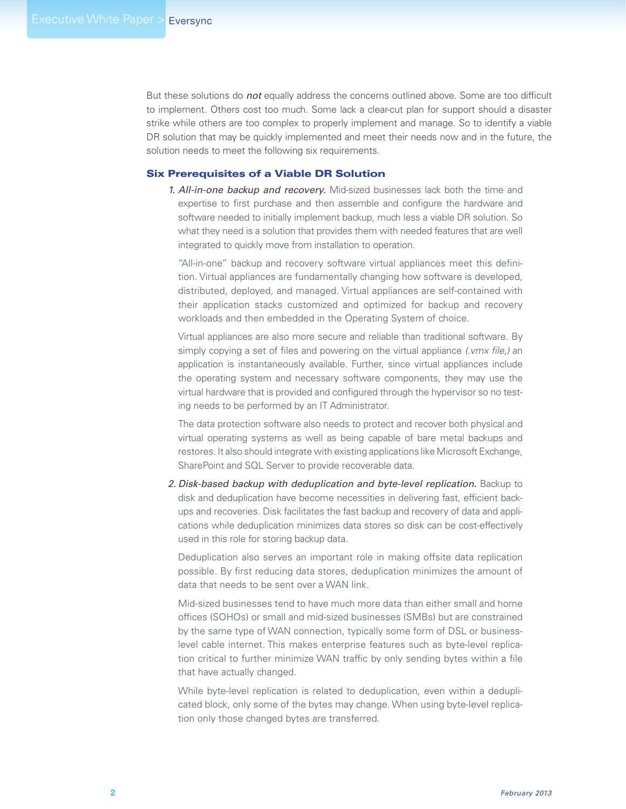But these solutions do *not* equally address the concerns outlined above. Some are too difficult to implement. Others cost too much. Some lack a clear-cut plan for support should a disaster strike while others are too complex to properly implement and manage. So to identify a viable DR solution that may be quickly implemented and meet their needs now and in the future, the solution needs to meet the following six requirements.

# Six Prerequisites of a Viable DR Solution

*1. All-in-one backup and recovery.* Mid-sized businesses lack both the time and expertise to first purchase and then assemble and configure the hardware and software needed to initially implement backup, much less a viable DR solution. So what they need is a solution that provides them with needed features that are well integrated to quickly move from installation to operation.

"All-in-one" backup and recovery software virtual appliances meet this definition. Virtual appliances are fundamentally changing how software is developed, distributed, deployed, and managed. Virtual appliances are self-contained with their application stacks customized and optimized for backup and recovery workloads and then embedded in the Operating System of choice.

Virtual appliances are also more secure and reliable than traditional software. By simply copying a set of files and powering on the virtual appliance *(.vmx file,)* an application is instantaneously available. Further, since virtual appliances include the operating system and necessary software components, they may use the virtual hardware that is provided and configured through the hypervisor so no testing needs to be performed by an IT Administrator.

The data protection software also needs to protect and recover both physical and virtual operating systems as well as being capable of bare metal backups and restores. It also should integrate with existing applications like Microsoft Exchange, SharePoint and SQL Server to provide recoverable data.

*2. Disk-based backup with deduplication and byte-level replication.* Backup to disk and deduplication have become necessities in delivering fast, efficient backups and recoveries. Disk facilitates the fast backup and recovery of data and applications while deduplication minimizes data stores so disk can be cost-effectively used in this role for storing backup data.

Deduplication also serves an important role in making offsite data replication possible. By first reducing data stores, deduplication minimizes the amount of data that needs to be sent over a WAN link.

Mid-sized businesses tend to have much more data than either small and home offices (SOHOs) or small and mid-sized businesses (SMBs) but are constrained by the same type of WAN connection, typically some form of DSL or businesslevel cable internet. This makes enterprise features such as byte-level replication critical to further minimize WAN traffic by only sending bytes within a file that have actually changed.

While byte-level replication is related to deduplication, even within a deduplicated block, only some of the bytes may change. When using byte-level replication only those changed bytes are transferred.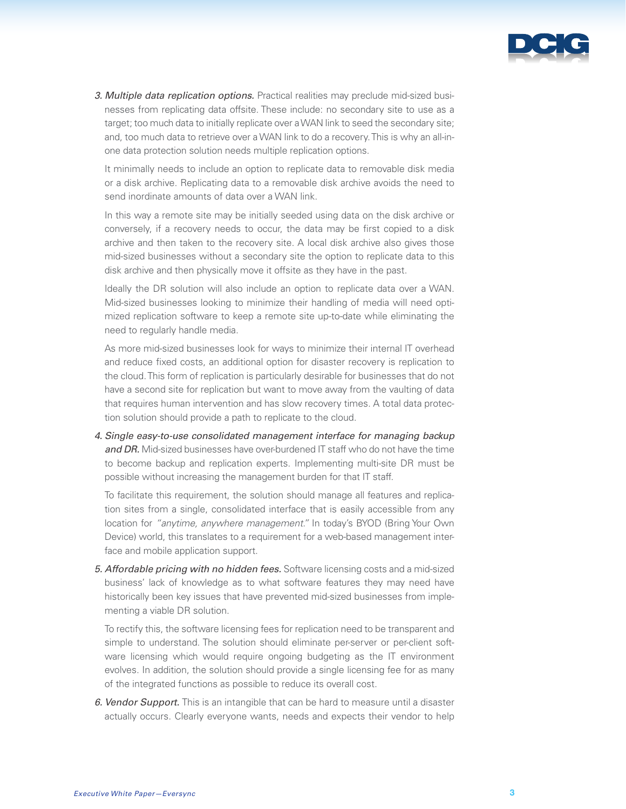

*3. Multiple data replication options.* Practical realities may preclude mid-sized businesses from replicating data offsite. These include: no secondary site to use as a target; too much data to initially replicate over a WAN link to seed the secondary site; and, too much data to retrieve over a WAN link to do a recovery. This is why an all-inone data protection solution needs multiple replication options.

It minimally needs to include an option to replicate data to removable disk media or a disk archive. Replicating data to a removable disk archive avoids the need to send inordinate amounts of data over a WAN link.

In this way a remote site may be initially seeded using data on the disk archive or conversely, if a recovery needs to occur, the data may be first copied to a disk archive and then taken to the recovery site. A local disk archive also gives those mid-sized businesses without a secondary site the option to replicate data to this disk archive and then physically move it offsite as they have in the past.

Ideally the DR solution will also include an option to replicate data over a WAN. Mid-sized businesses looking to minimize their handling of media will need optimized replication software to keep a remote site up-to-date while eliminating the need to regularly handle media.

As more mid-sized businesses look for ways to minimize their internal IT overhead and reduce fixed costs, an additional option for disaster recovery is replication to the cloud. This form of replication is particularly desirable for businesses that do not have a second site for replication but want to move away from the vaulting of data that requires human intervention and has slow recovery times. A total data protection solution should provide a path to replicate to the cloud.

*4. Single easy-to-use consolidated management interface for managing backup and DR.* Mid-sized businesses have over-burdened IT staff who do not have the time to become backup and replication experts. Implementing multi-site DR must be possible without increasing the management burden for that IT staff.

To facilitate this requirement, the solution should manage all features and replication sites from a single, consolidated interface that is easily accessible from any location for *"anytime, anywhere management."* In today's BYOD (Bring Your Own Device) world, this translates to a requirement for a web-based management interface and mobile application support.

*5. Affordable pricing with no hidden fees.* Software licensing costs and a mid-sized business' lack of knowledge as to what software features they may need have historically been key issues that have prevented mid-sized businesses from implementing a viable DR solution.

To rectify this, the software licensing fees for replication need to be transparent and simple to understand. The solution should eliminate per-server or per-client software licensing which would require ongoing budgeting as the IT environment evolves. In addition, the solution should provide a single licensing fee for as many of the integrated functions as possible to reduce its overall cost.

*6. Vendor Support.* This is an intangible that can be hard to measure until a disaster actually occurs. Clearly everyone wants, needs and expects their vendor to help